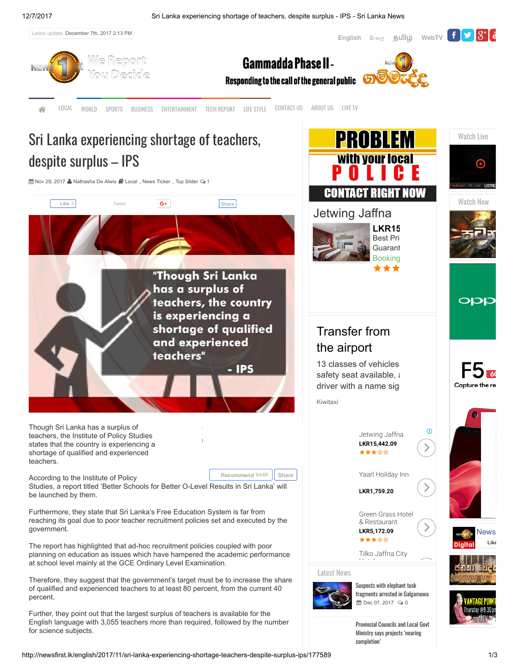[English](http://www.newsfirst.lk/english/) ஃல<sub>ே</sub> [தமி](http://www.newsfirst.lk/tamil/)ழ் [WebTV](http://webtv.lk/news/) <mark>f V &</mark>

PROBLEM

**With your local** 

Watch Live

∩

Watch Now

**OPP** 

Capture th



[LOCAL](http://newsfirst.lk/english/category/local) [WORLD](http://newsfirst.lk/english/category/world) [SPORTS](http://newsfirst.lk/english/category/sports) [BUSINESS](http://newsfirst.lk/english/category/business) [ENTERTAINMENT](http://newsfirst.lk/english/category/entertainment) TECH [REPORT](http://newsfirst.lk/english/category/science) LIFE [STYLE](http://newsfirst.lk/english/category/life-style) [CONTACT](http://newsfirst.lk/english/contact-us) US [ABOUT](http://newsfirst.lk/english/us) US [LIVE](http://newsfirst.lk/english/watch-live) TV

# Sri Lanka experiencing shortage of teachers, despite surplus – IPS

曲 Nov 29, 2017 & [Nathasha De Alwis](http://newsfirst.lk/english/author/nathasha) ■ [Local](http://newsfirst.lk/english/category/local), [News Ticker](http://newsfirst.lk/english/category/news-ticker), [Top Slider](http://newsfirst.lk/english/category/top-sliding-story) 2 1



Therefore, they suggest that the government's target must be to increase the share of qualified and experienced teachers to at least 80 percent, from the current 40 percent.

Further, they point out that the largest surplus of teachers is available for the English language with 3,055 teachers more than required, followed by the number for science subjects.

**■** Dec 07, 2017  $\quad$  0

fragments arrested in [Galgamuwa](http://newsfirst.lk/english/2017/12/two-individuals-arrested-possessing-fragments-elephant-tusks/178077)

Provincial Councils and Local Govt Ministry says projects 'nearing [completion'](http://newsfirst.lk/english/2017/12/ministry-provincial-councils-local-government/178074)

[News](https://www.facebook.com/NewsfirstSL/) [Like](https://www.facebook.com/NewsfirstSL/)